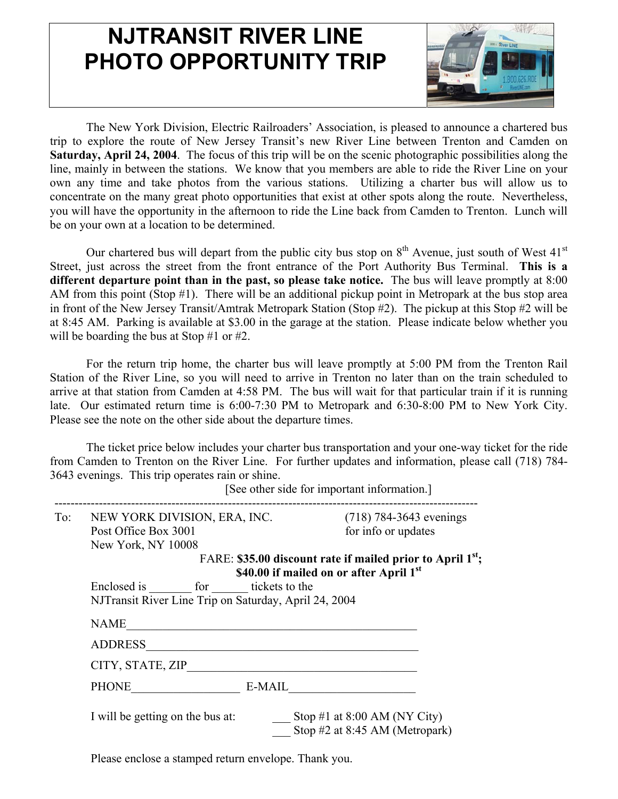## **NJTRANSIT RIVER LINE PHOTO OPPORTUNITY TRIP**



The New York Division, Electric Railroaders' Association, is pleased to announce a chartered bus trip to explore the route of New Jersey Transit's new River Line between Trenton and Camden on **Saturday, April 24, 2004**. The focus of this trip will be on the scenic photographic possibilities along the line, mainly in between the stations. We know that you members are able to ride the River Line on your own any time and take photos from the various stations. Utilizing a charter bus will allow us to concentrate on the many great photo opportunities that exist at other spots along the route. Nevertheless, you will have the opportunity in the afternoon to ride the Line back from Camden to Trenton. Lunch will be on your own at a location to be determined.

Our chartered bus will depart from the public city bus stop on  $8<sup>th</sup>$  Avenue, just south of West  $41<sup>st</sup>$ Street, just across the street from the front entrance of the Port Authority Bus Terminal. **This is a different departure point than in the past, so please take notice.** The bus will leave promptly at 8:00 AM from this point (Stop #1). There will be an additional pickup point in Metropark at the bus stop area in front of the New Jersey Transit/Amtrak Metropark Station (Stop #2). The pickup at this Stop #2 will be at 8:45 AM. Parking is available at \$3.00 in the garage at the station. Please indicate below whether you will be boarding the bus at Stop #1 or #2.

For the return trip home, the charter bus will leave promptly at 5:00 PM from the Trenton Rail Station of the River Line, so you will need to arrive in Trenton no later than on the train scheduled to arrive at that station from Camden at 4:58 PM. The bus will wait for that particular train if it is running late. Our estimated return time is 6:00-7:30 PM to Metropark and 6:30-8:00 PM to New York City. Please see the note on the other side about the departure times.

The ticket price below includes your charter bus transportation and your one-way ticket for the ride from Camden to Trenton on the River Line. For further updates and information, please call (718) 784- 3643 evenings. This trip operates rain or shine.

| To: | NEW YORK DIVISION, ERA, INC.                                                                                                                                                                          | $(718)$ 784-3643 evenings                                      |  |
|-----|-------------------------------------------------------------------------------------------------------------------------------------------------------------------------------------------------------|----------------------------------------------------------------|--|
|     | Post Office Box 3001                                                                                                                                                                                  | for info or updates                                            |  |
|     | New York, NY 10008                                                                                                                                                                                    |                                                                |  |
|     | FARE: \$35.00 discount rate if mailed prior to April $1^{st}$ ;<br>\$40.00 if mailed on or after April 1st<br>Enclosed is for tickets to the<br>NJTransit River Line Trip on Saturday, April 24, 2004 |                                                                |  |
|     | <b>NAME</b>                                                                                                                                                                                           |                                                                |  |
|     | <b>ADDRESS</b>                                                                                                                                                                                        |                                                                |  |
|     | CITY, STATE, ZIP                                                                                                                                                                                      |                                                                |  |
|     | PHONE                                                                                                                                                                                                 | E-MAIL                                                         |  |
|     | I will be getting on the bus at:                                                                                                                                                                      | Stop #1 at 8:00 AM (NY City)<br>Stop #2 at 8:45 AM (Metropark) |  |

[See other side for important information.]

Please enclose a stamped return envelope. Thank you.